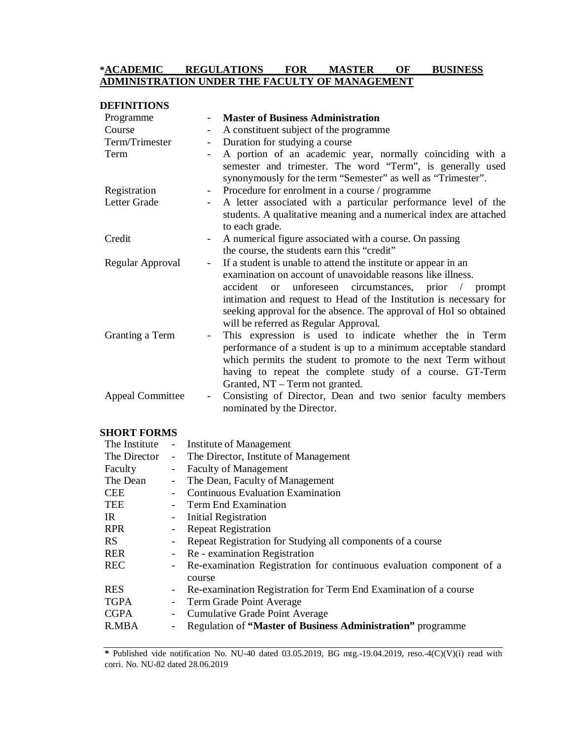# **\*ACADEMIC REGULATIONS FOR MASTER OF BUSINESS ADMINISTRATION UNDER THE FACULTY OF MANAGEMENT**

| <b>DEFINITIONS</b>      |                          |                                                                                                                                                                                                                                                                                                                                                                                                           |
|-------------------------|--------------------------|-----------------------------------------------------------------------------------------------------------------------------------------------------------------------------------------------------------------------------------------------------------------------------------------------------------------------------------------------------------------------------------------------------------|
| Programme               |                          | <b>Master of Business Administration</b>                                                                                                                                                                                                                                                                                                                                                                  |
| Course                  | $\overline{\phantom{0}}$ | A constituent subject of the programme                                                                                                                                                                                                                                                                                                                                                                    |
| Term/Trimester          | $\overline{\phantom{0}}$ | Duration for studying a course                                                                                                                                                                                                                                                                                                                                                                            |
| Term                    | $\overline{\phantom{a}}$ | A portion of an academic year, normally coinciding with a<br>semester and trimester. The word "Term", is generally used<br>synonymously for the term "Semester" as well as "Trimester".                                                                                                                                                                                                                   |
| Registration            | $\overline{\phantom{a}}$ | Procedure for enrolment in a course / programme                                                                                                                                                                                                                                                                                                                                                           |
| Letter Grade            |                          | A letter associated with a particular performance level of the<br>students. A qualitative meaning and a numerical index are attached<br>to each grade.                                                                                                                                                                                                                                                    |
| Credit                  | $\overline{\phantom{a}}$ | A numerical figure associated with a course. On passing<br>the course, the students earn this "credit"                                                                                                                                                                                                                                                                                                    |
| Regular Approval        | $\overline{\phantom{a}}$ | If a student is unable to attend the institute or appear in an<br>examination on account of unavoidable reasons like illness.<br>accident<br>unforeseen circumstances, prior<br>prompt<br><sub>or</sub><br>$\sqrt{2}$<br>intimation and request to Head of the Institution is necessary for<br>seeking approval for the absence. The approval of HoI so obtained<br>will be referred as Regular Approval. |
| Granting a Term         |                          | This expression is used to indicate whether the in Term<br>performance of a student is up to a minimum acceptable standard<br>which permits the student to promote to the next Term without<br>having to repeat the complete study of a course. GT-Term<br>Granted, NT – Term not granted.                                                                                                                |
| <b>Appeal Committee</b> | $\overline{\phantom{a}}$ | Consisting of Director, Dean and two senior faculty members<br>nominated by the Director.                                                                                                                                                                                                                                                                                                                 |

# **SHORT FORMS**

| The Institute |        | - Institute of Management                                            |
|---------------|--------|----------------------------------------------------------------------|
| The Director  | $\sim$ | The Director, Institute of Management                                |
| Faculty       |        | - Faculty of Management                                              |
| The Dean      | $\sim$ | The Dean, Faculty of Management                                      |
| <b>CEE</b>    |        | <b>Continuous Evaluation Examination</b>                             |
| TEE           |        | - Term End Examination                                               |
| IR            |        | - Initial Registration                                               |
| <b>RPR</b>    |        | <b>Repeat Registration</b>                                           |
| <b>RS</b>     |        | Repeat Registration for Studying all components of a course          |
| <b>RER</b>    |        | - Re - examination Registration                                      |
| <b>REC</b>    |        | Re-examination Registration for continuous evaluation component of a |
|               |        | course                                                               |
| <b>RES</b>    |        | Re-examination Registration for Term End Examination of a course     |
| <b>TGPA</b>   |        | - Term Grade Point Average                                           |
| <b>CGPA</b>   |        | - Cumulative Grade Point Average                                     |
| R.MBA         |        | Regulation of "Master of Business Administration" programme          |
|               |        |                                                                      |

**\*** Published vide notification No. NU-40 dated 03.05.2019, BG mtg.-19.04.2019, reso.-4(C)(V)(i) read with corri. No. NU-82 dated 28.06.2019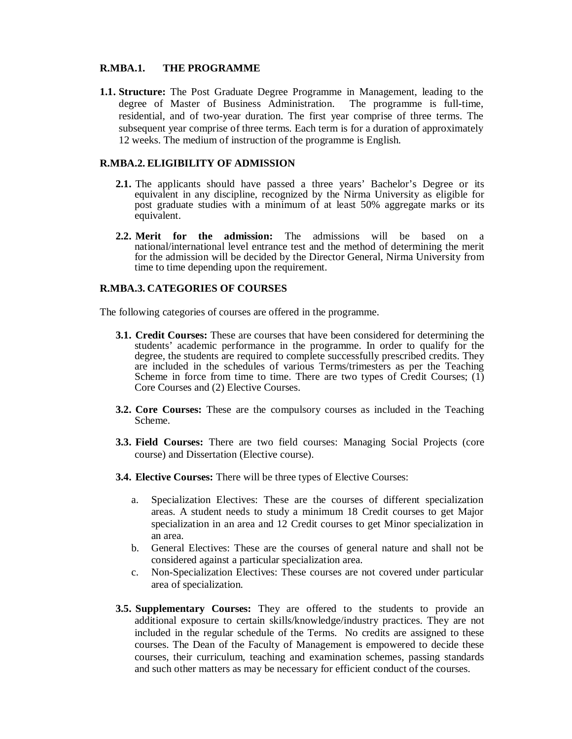## **R.MBA.1. THE PROGRAMME**

**1.1. Structure:** The Post Graduate Degree Programme in Management, leading to the degree of Master of Business Administration. The programme is full-time, residential, and of two-year duration. The first year comprise of three terms. The subsequent year comprise of three terms. Each term is for a duration of approximately 12 weeks. The medium of instruction of the programme is English.

## **R.MBA.2. ELIGIBILITY OF ADMISSION**

- **2.1.** The applicants should have passed a three years' Bachelor's Degree or its equivalent in any discipline, recognized by the Nirma University as eligible for post graduate studies with a minimum of at least 50% aggregate marks or its equivalent.
- **2.2. Merit for the admission:** The admissions will be based on a national/international level entrance test and the method of determining the merit for the admission will be decided by the Director General, Nirma University from time to time depending upon the requirement.

## **R.MBA.3. CATEGORIES OF COURSES**

The following categories of courses are offered in the programme.

- **3.1. Credit Courses:** These are courses that have been considered for determining the students' academic performance in the programme. In order to qualify for the degree, the students are required to complete successfully prescribed credits. They are included in the schedules of various Terms/trimesters as per the Teaching Scheme in force from time to time. There are two types of Credit Courses; (1) Core Courses and (2) Elective Courses.
- **3.2. Core Courses:** These are the compulsory courses as included in the Teaching Scheme.
- **3.3. Field Courses:** There are two field courses: Managing Social Projects (core course) and Dissertation (Elective course).
- **3.4. Elective Courses:** There will be three types of Elective Courses:
	- a. Specialization Electives: These are the courses of different specialization areas. A student needs to study a minimum 18 Credit courses to get Major specialization in an area and 12 Credit courses to get Minor specialization in an area.
	- b. General Electives: These are the courses of general nature and shall not be considered against a particular specialization area.
	- c. Non-Specialization Electives: These courses are not covered under particular area of specialization.
- **3.5. Supplementary Courses:** They are offered to the students to provide an additional exposure to certain skills/knowledge/industry practices. They are not included in the regular schedule of the Terms. No credits are assigned to these courses. The Dean of the Faculty of Management is empowered to decide these courses, their curriculum, teaching and examination schemes, passing standards and such other matters as may be necessary for efficient conduct of the courses.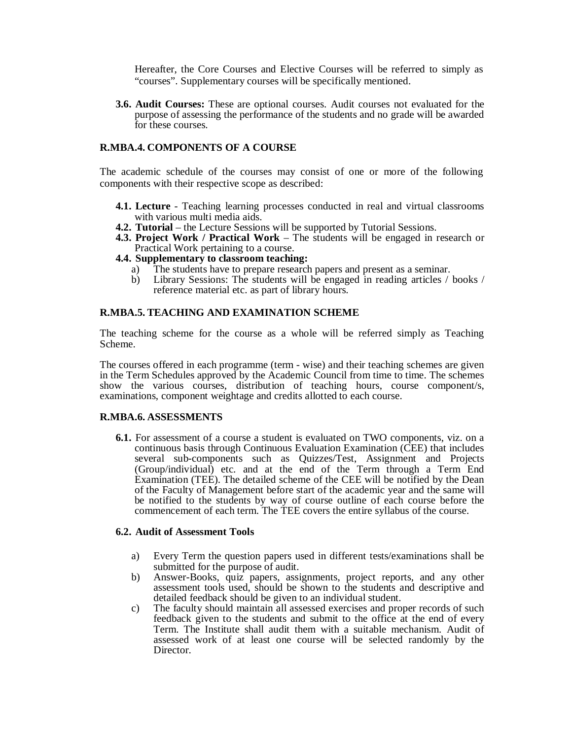Hereafter, the Core Courses and Elective Courses will be referred to simply as "courses". Supplementary courses will be specifically mentioned.

**3.6. Audit Courses:** These are optional courses. Audit courses not evaluated for the purpose of assessing the performance of the students and no grade will be awarded for these courses.

## **R.MBA.4. COMPONENTS OF A COURSE**

The academic schedule of the courses may consist of one or more of the following components with their respective scope as described:

- **4.1. Lecture** Teaching learning processes conducted in real and virtual classrooms with various multi media aids.
- **4.2. Tutorial** the Lecture Sessions will be supported by Tutorial Sessions.
- **4.3. Project Work / Practical Work**  The students will be engaged in research or Practical Work pertaining to a course.
- **4.4. Supplementary to classroom teaching:** 
	- a) The students have to prepare research papers and present as a seminar.<br>b) Library Sessions: The students will be engaged in reading articles /
	- Library Sessions: The students will be engaged in reading articles / books / reference material etc. as part of library hours.

## **R.MBA.5. TEACHING AND EXAMINATION SCHEME**

The teaching scheme for the course as a whole will be referred simply as Teaching Scheme.

The courses offered in each programme (term - wise) and their teaching schemes are given in the Term Schedules approved by the Academic Council from time to time. The schemes show the various courses, distribution of teaching hours, course component/s, examinations, component weightage and credits allotted to each course.

## **R.MBA.6. ASSESSMENTS**

**6.1.** For assessment of a course a student is evaluated on TWO components, viz. on a continuous basis through Continuous Evaluation Examination (CEE) that includes several sub-components such as Quizzes/Test, Assignment and Projects (Group/individual) etc. and at the end of the Term through a Term End Examination (TEE). The detailed scheme of the CEE will be notified by the Dean of the Faculty of Management before start of the academic year and the same will be notified to the students by way of course outline of each course before the commencement of each term. The TEE covers the entire syllabus of the course.

### **6.2. Audit of Assessment Tools**

- a) Every Term the question papers used in different tests/examinations shall be submitted for the purpose of audit.
- b) Answer-Books, quiz papers, assignments, project reports, and any other assessment tools used, should be shown to the students and descriptive and detailed feedback should be given to an individual student.
- c) The faculty should maintain all assessed exercises and proper records of such feedback given to the students and submit to the office at the end of every Term. The Institute shall audit them with a suitable mechanism. Audit of assessed work of at least one course will be selected randomly by the Director.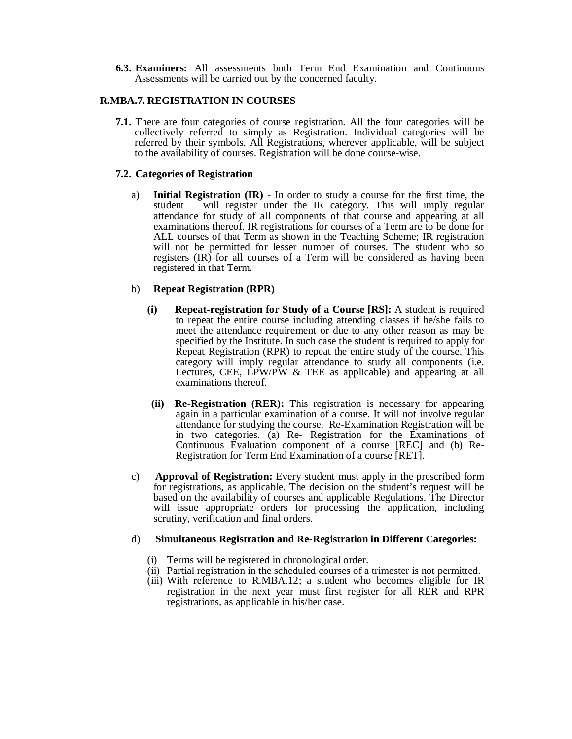**6.3. Examiners:** All assessments both Term End Examination and Continuous Assessments will be carried out by the concerned faculty.

## **R.MBA.7. REGISTRATION IN COURSES**

**7.1.** There are four categories of course registration. All the four categories will be collectively referred to simply as Registration. Individual categories will be referred by their symbols. All Registrations, wherever applicable, will be subject to the availability of courses. Registration will be done course-wise.

## **7.2. Categories of Registration**

a) **Initial Registration (IR)** - In order to study a course for the first time, the will register under the IR category. This will imply regular attendance for study of all components of that course and appearing at all examinations thereof. IR registrations for courses of a Term are to be done for ALL courses of that Term as shown in the Teaching Scheme; IR registration will not be permitted for lesser number of courses. The student who so registers (IR) for all courses of a Term will be considered as having been registered in that Term.

## b) **Repeat Registration (RPR)**

- **(i) Repeat-registration for Study of a Course [RS]:** A student is required to repeat the entire course including attending classes if he/she fails to meet the attendance requirement or due to any other reason as may be specified by the Institute. In such case the student is required to apply for Repeat Registration (RPR) to repeat the entire study of the course. This category will imply regular attendance to study all components (i.e. Lectures, CEE, LPW/PW & TEE as applicable) and appearing at all examinations thereof.
- **(ii) Re-Registration (RER):** This registration is necessary for appearing again in a particular examination of a course. It will not involve regular attendance for studying the course. Re-Examination Registration will be in two categories. (a) Re- Registration for the Examinations of Continuous Evaluation component of a course [REC] and (b) Re-Registration for Term End Examination of a course [RET].
- c) **Approval of Registration:** Every student must apply in the prescribed form for registrations, as applicable. The decision on the student's request will be based on the availability of courses and applicable Regulations. The Director will issue appropriate orders for processing the application, including scrutiny, verification and final orders.

### d) **Simultaneous Registration and Re-Registration in Different Categories:**

- (i) Terms will be registered in chronological order.
- (ii) Partial registration in the scheduled courses of a trimester is not permitted.
- (iii) With reference to R.MBA.12; a student who becomes eligible for IR registration in the next year must first register for all RER and RPR registrations, as applicable in his/her case.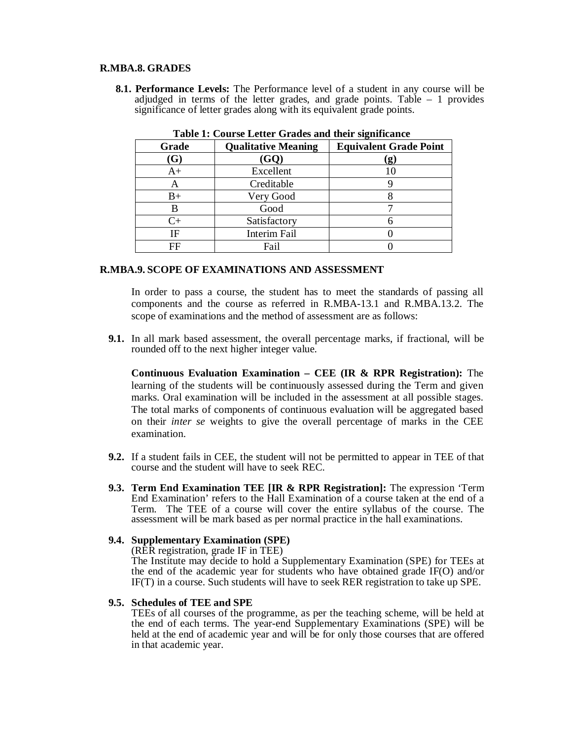## **R.MBA.8. GRADES**

**8.1. Performance Levels:** The Performance level of a student in any course will be adjudged in terms of the letter grades, and grade points. Table  $-1$  provides significance of letter grades along with its equivalent grade points.

| Table 1. Course Letter Graues and their significance |                            |                               |  |
|------------------------------------------------------|----------------------------|-------------------------------|--|
| Grade                                                | <b>Qualitative Meaning</b> | <b>Equivalent Grade Point</b> |  |
| (G)                                                  | (GQ)                       | $\left( \mathbf{g}\right)$    |  |
| $A+$                                                 | Excellent                  | 10                            |  |
| A                                                    | Creditable                 |                               |  |
| B+                                                   | Very Good                  |                               |  |
| В                                                    | Good                       |                               |  |
| $C +$                                                | Satisfactory               |                               |  |
| IF                                                   | Interim Fail               |                               |  |
| FF                                                   | Fail                       |                               |  |

**Table 1: Course Letter Grades and their significance**

## **R.MBA.9. SCOPE OF EXAMINATIONS AND ASSESSMENT**

In order to pass a course, the student has to meet the standards of passing all components and the course as referred in R.MBA-13.1 and R.MBA.13.2. The scope of examinations and the method of assessment are as follows:

**9.1.** In all mark based assessment, the overall percentage marks, if fractional, will be rounded off to the next higher integer value.

**Continuous Evaluation Examination – CEE (IR & RPR Registration):** The learning of the students will be continuously assessed during the Term and given marks. Oral examination will be included in the assessment at all possible stages. The total marks of components of continuous evaluation will be aggregated based on their *inter se* weights to give the overall percentage of marks in the CEE examination.

- **9.2.** If a student fails in CEE, the student will not be permitted to appear in TEE of that course and the student will have to seek REC.
- **9.3. Term End Examination TEE [IR & RPR Registration]:** The expression 'Term End Examination' refers to the Hall Examination of a course taken at the end of a Term. The TEE of a course will cover the entire syllabus of the course. The assessment will be mark based as per normal practice in the hall examinations.

## **9.4. Supplementary Examination (SPE)**

(RER registration, grade IF in TEE)

The Institute may decide to hold a Supplementary Examination (SPE) for TEEs at the end of the academic year for students who have obtained grade IF(O) and/or IF(T) in a course. Such students will have to seek RER registration to take up SPE.

### **9.5. Schedules of TEE and SPE**

TEEs of all courses of the programme, as per the teaching scheme, will be held at the end of each terms. The year-end Supplementary Examinations (SPE) will be held at the end of academic year and will be for only those courses that are offered in that academic year.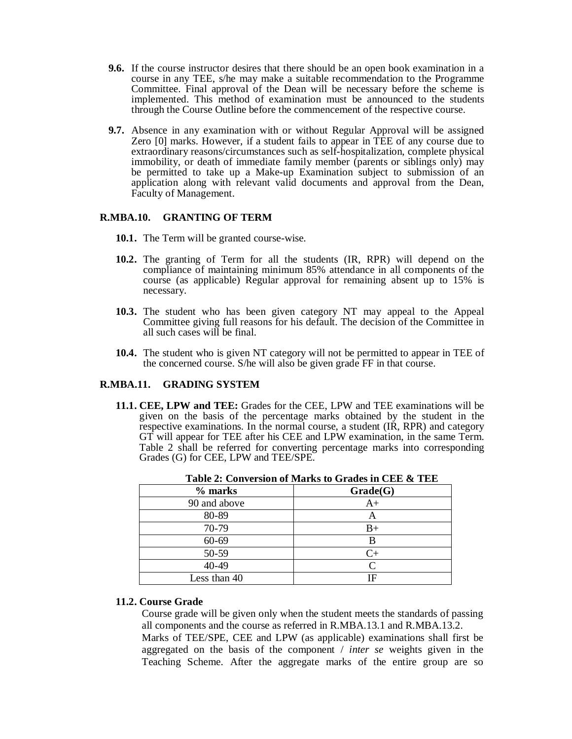- **9.6.** If the course instructor desires that there should be an open book examination in a course in any TEE, s/he may make a suitable recommendation to the Programme Committee. Final approval of the Dean will be necessary before the scheme is implemented. This method of examination must be announced to the students through the Course Outline before the commencement of the respective course.
- **9.7.** Absence in any examination with or without Regular Approval will be assigned Zero [0] marks. However, if a student fails to appear in TEE of any course due to extraordinary reasons/circumstances such as self-hospitalization, complete physical immobility, or death of immediate family member (parents or siblings only) may be permitted to take up a Make-up Examination subject to submission of an application along with relevant valid documents and approval from the Dean, Faculty of Management.

## **R.MBA.10. GRANTING OF TERM**

- **10.1.** The Term will be granted course-wise.
- **10.2.** The granting of Term for all the students (IR, RPR) will depend on the compliance of maintaining minimum 85% attendance in all components of the course (as applicable) Regular approval for remaining absent up to 15% is necessary.
- **10.3.** The student who has been given category NT may appeal to the Appeal Committee giving full reasons for his default. The decision of the Committee in all such cases will be final.
- **10.4.** The student who is given NT category will not be permitted to appear in TEE of the concerned course. S/he will also be given grade FF in that course.

## **R.MBA.11. GRADING SYSTEM**

**11.1. CEE, LPW and TEE:** Grades for the CEE, LPW and TEE examinations will be given on the basis of the percentage marks obtained by the student in the respective examinations. In the normal course, a student (IR, RPR) and category GT will appear for TEE after his CEE and LPW examination, in the same Term. Table 2 shall be referred for converting percentage marks into corresponding Grades (G) for CEE, LPW and TEE/SPE.

| % marks      | Grade(G)          |
|--------------|-------------------|
| 90 and above | $A+$              |
| 80-89        | Α                 |
| 70-79        | B+                |
| $60 - 69$    | В                 |
| 50-59        | $C_{+}$           |
| 40-49        | $\mathsf{\Gamma}$ |
| Less than 40 | ΙF                |

**Table 2: Conversion of Marks to Grades in CEE & TEE**

## **11.2. Course Grade**

Course grade will be given only when the student meets the standards of passing all components and the course as referred in R.MBA.13.1 and R.MBA.13.2.

Marks of TEE/SPE, CEE and LPW (as applicable) examinations shall first be aggregated on the basis of the component / *inter se* weights given in the Teaching Scheme. After the aggregate marks of the entire group are so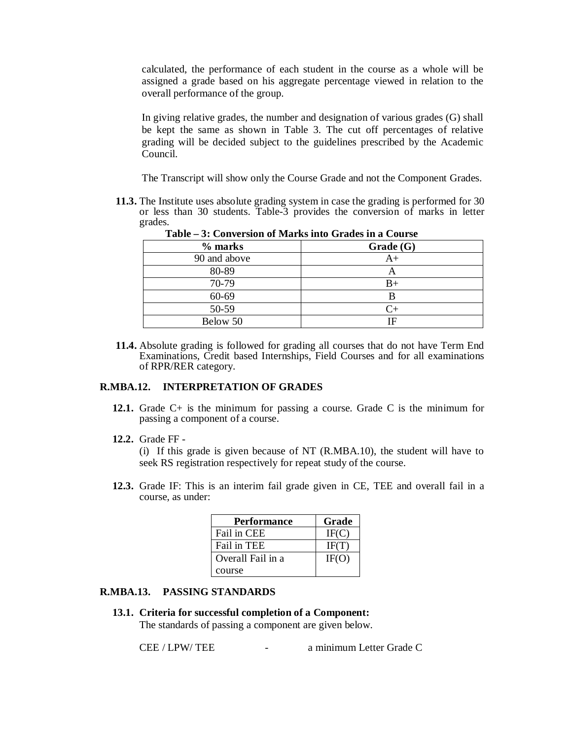calculated, the performance of each student in the course as a whole will be assigned a grade based on his aggregate percentage viewed in relation to the overall performance of the group.

In giving relative grades, the number and designation of various grades (G) shall be kept the same as shown in Table 3. The cut off percentages of relative grading will be decided subject to the guidelines prescribed by the Academic Council.

The Transcript will show only the Course Grade and not the Component Grades.

**11.3.** The Institute uses absolute grading system in case the grading is performed for 30 or less than 30 students. Table-3 provides the conversion of marks in letter grades. **Table – 3: Conversion of Marks into Grades in a Course**

| Table – 3: Conversion of Marks into Grades in a Course |           |  |
|--------------------------------------------------------|-----------|--|
| % marks                                                | Grade(G)  |  |
| 90 and above                                           | $A+$      |  |
| 80-89                                                  | А         |  |
| 70-79                                                  | $B+$      |  |
| 60-69                                                  |           |  |
| 50-59                                                  | $C_{\pm}$ |  |
| Below 50                                               | ΙF        |  |

**11.4.** Absolute grading is followed for grading all courses that do not have Term End Examinations, Credit based Internships, Field Courses and for all examinations of RPR/RER category.

### **R.MBA.12. INTERPRETATION OF GRADES**

- **12.1.** Grade C+ is the minimum for passing a course. Grade C is the minimum for passing a component of a course.
- **12.2.** Grade FF -

(i) If this grade is given because of NT (R.MBA.10), the student will have to seek RS registration respectively for repeat study of the course.

**12.3.** Grade IF: This is an interim fail grade given in CE, TEE and overall fail in a course, as under:

| <b>Performance</b> | Grade |
|--------------------|-------|
| Fail in CEE        | IF(C) |
| Fail in TEE        | IF(T) |
| Overall Fail in a  | IF(O) |
| course             |       |

# **R.MBA.13. PASSING STANDARDS**

**13.1. Criteria for successful completion of a Component:** 

The standards of passing a component are given below.

CEE / LPW/ TEE - a minimum Letter Grade C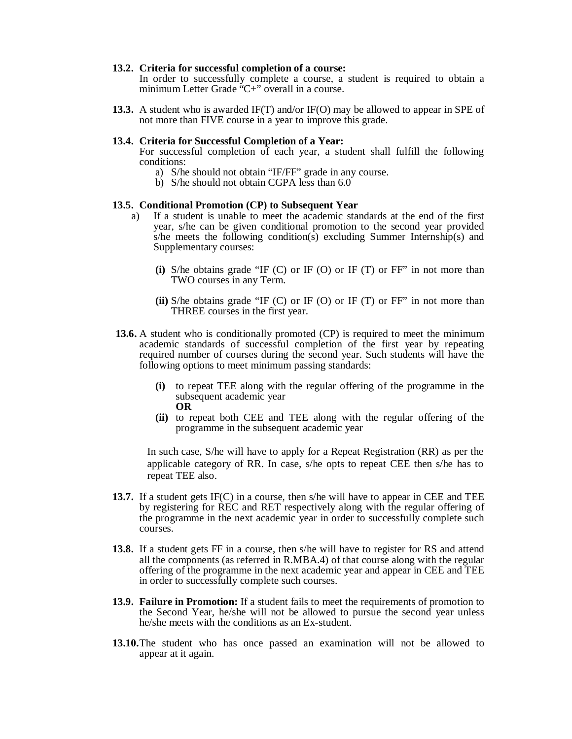#### **13.2. Criteria for successful completion of a course:**

In order to successfully complete a course, a student is required to obtain a minimum Letter Grade "C+" overall in a course.

**13.3.** A student who is awarded IF(T) and/or IF(O) may be allowed to appear in SPE of not more than FIVE course in a year to improve this grade.

#### **13.4. Criteria for Successful Completion of a Year:**

For successful completion of each year, a student shall fulfill the following conditions:

- a) S/he should not obtain "IF/FF" grade in any course.
- b) S/he should not obtain CGPA less than 6.0

## **13.5. Conditional Promotion (CP) to Subsequent Year**

- a) If a student is unable to meet the academic standards at the end of the first year, s/he can be given conditional promotion to the second year provided s/he meets the following condition(s) excluding Summer Internship(s) and Supplementary courses:
	- **(i)** S/he obtains grade "IF (C) or IF (O) or IF (T) or FF" in not more than TWO courses in any Term.
	- **(ii)** S/he obtains grade "IF (C) or IF (O) or IF (T) or FF" in not more than THREE courses in the first year.
- **13.6.** A student who is conditionally promoted (CP) is required to meet the minimum academic standards of successful completion of the first year by repeating required number of courses during the second year. Such students will have the following options to meet minimum passing standards:
	- **(i)** to repeat TEE along with the regular offering of the programme in the subsequent academic year **OR**
	- **(ii)** to repeat both CEE and TEE along with the regular offering of the programme in the subsequent academic year

In such case, S/he will have to apply for a Repeat Registration (RR) as per the applicable category of RR. In case, s/he opts to repeat CEE then s/he has to repeat TEE also.

- **13.7.** If a student gets IF(C) in a course, then s/he will have to appear in CEE and TEE by registering for REC and RET respectively along with the regular offering of the programme in the next academic year in order to successfully complete such courses.
- **13.8.** If a student gets FF in a course, then s/he will have to register for RS and attend all the components (as referred in R.MBA.4) of that course along with the regular offering of the programme in the next academic year and appear in CEE and TEE in order to successfully complete such courses.
- **13.9. Failure in Promotion:** If a student fails to meet the requirements of promotion to the Second Year, he/she will not be allowed to pursue the second year unless he/she meets with the conditions as an Ex-student.
- **13.10.**The student who has once passed an examination will not be allowed to appear at it again.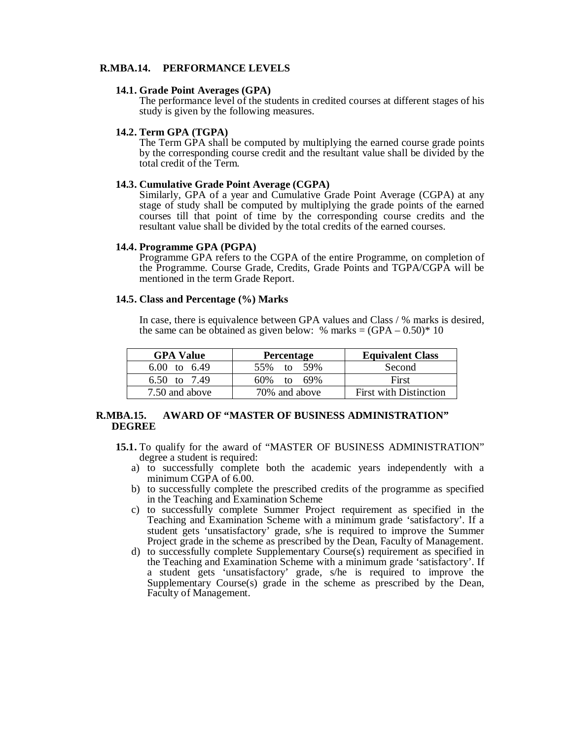## **R.MBA.14. PERFORMANCE LEVELS**

#### **14.1. Grade Point Averages (GPA)**

The performance level of the students in credited courses at different stages of his study is given by the following measures.

#### **14.2. Term GPA (TGPA)**

The Term GPA shall be computed by multiplying the earned course grade points by the corresponding course credit and the resultant value shall be divided by the total credit of the Term.

## **14.3. Cumulative Grade Point Average (CGPA)**

Similarly, GPA of a year and Cumulative Grade Point Average (CGPA) at any stage of study shall be computed by multiplying the grade points of the earned courses till that point of time by the corresponding course credits and the resultant value shall be divided by the total credits of the earned courses.

#### **14.4. Programme GPA (PGPA)**

Programme GPA refers to the CGPA of the entire Programme, on completion of the Programme. Course Grade, Credits, Grade Points and TGPA/CGPA will be mentioned in the term Grade Report.

#### **14.5. Class and Percentage (%) Marks**

In case, there is equivalence between GPA values and Class / % marks is desired, the same can be obtained as given below: % marks  $= (GPA - 0.50)^* 10$ 

| <b>GPA Value</b> | <b>Percentage</b> | <b>Equivalent Class</b>       |
|------------------|-------------------|-------------------------------|
| 6.00 to 6.49     | 55% to 59%        | Second                        |
| 6.50 to 7.49     | $60\%$ to $69\%$  | First                         |
| 7.50 and above   | 70% and above     | <b>First with Distinction</b> |

## **R.MBA.15. AWARD OF "MASTER OF BUSINESS ADMINISTRATION" DEGREE**

- **15.1.** To qualify for the award of "MASTER OF BUSINESS ADMINISTRATION" degree a student is required:
	- a) to successfully complete both the academic years independently with a minimum CGPA of 6.00.
	- b) to successfully complete the prescribed credits of the programme as specified in the Teaching and Examination Scheme
	- c) to successfully complete Summer Project requirement as specified in the Teaching and Examination Scheme with a minimum grade 'satisfactory'. If a student gets 'unsatisfactory' grade, s/he is required to improve the Summer Project grade in the scheme as prescribed by the Dean, Faculty of Management.
	- d) to successfully complete Supplementary Course(s) requirement as specified in the Teaching and Examination Scheme with a minimum grade 'satisfactory'. If a student gets 'unsatisfactory' grade, s/he is required to improve the Supplementary Course(s) grade in the scheme as prescribed by the Dean, Faculty of Management.